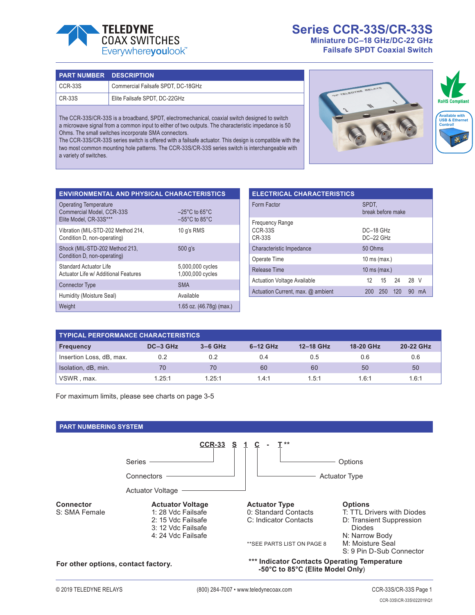

# **Series CCR-33S/CR-33S Miniature DC–18 GHz/DC-22 GHz**

**Failsafe SPDT Coaxial Switch**

| <b>PART NUMBER DESCRIPTION</b> |                                    |
|--------------------------------|------------------------------------|
| $CCR-33S$                      | Commercial Failsafe SPDT, DC-18GHz |
| $CR-33S$                       | Elite Failsafe SPDT, DC-22GHz      |

The CCR-33S/CR-33S is a broadband, SPDT, electromechanical, coaxial switch designed to switch a microwave signal from a common input to either of two outputs. The characteristic impedance is 50 Ohms. The small switches incorporate SMA connectors.

The CCR-33S/CR-33S series switch is offered with a failsafe actuator. This design is compatible with the two most common mounting hole patterns. The CCR-33S/CR-33S series switch is interchangeable with a variety of switches.



| <b>ENVIRONMENTAL AND PHYSICAL CHARACTERISTICS</b>                                   |                                                                          |
|-------------------------------------------------------------------------------------|--------------------------------------------------------------------------|
| <b>Operating Temperature</b><br>Commercial Model, CCR-33S<br>Elite Model. CR-33S*** | $-25^{\circ}$ C to 65 $^{\circ}$ C<br>$-55^{\circ}$ C to 85 $^{\circ}$ C |
| Vibration (MIL-STD-202 Method 214,<br>Condition D, non-operating)                   | 10 q's RMS                                                               |
| Shock (MIL-STD-202 Method 213,<br>Condition D, non-operating)                       | 500 q's                                                                  |
| <b>Standard Actuator Life</b><br>Actuator Life w/ Additional Features               | 5,000,000 cycles<br>1,000,000 cycles                                     |
| <b>Connector Type</b>                                                               | <b>SMA</b>                                                               |
| Humidity (Moisture Seal)                                                            | Available                                                                |
| Weight                                                                              | 1.65 oz. (46.78g) (max.)                                                 |

| <b>ELECTRICAL CHARACTERISTICS</b>                         |                               |  |  |  |  |
|-----------------------------------------------------------|-------------------------------|--|--|--|--|
| Form Factor                                               | SPDT.<br>break before make    |  |  |  |  |
| <b>Frequency Range</b><br><b>CCR-33S</b><br><b>CR-33S</b> | DC-18 GHz<br>$DC-22$ GHz      |  |  |  |  |
| Characteristic Impedance                                  | 50 Ohms                       |  |  |  |  |
| Operate Time                                              | $10$ ms (max.)                |  |  |  |  |
| <b>Release Time</b>                                       | 10 ms (max.)                  |  |  |  |  |
| <b>Actuation Voltage Available</b>                        | 15 24<br>28 V<br>12           |  |  |  |  |
| Actuation Current, max. @ ambient                         | 120<br>250<br>90<br>mA<br>200 |  |  |  |  |

| <b>TYPICAL PERFORMANCE CHARACTERISTICS</b> |          |           |            |           |           |           |
|--------------------------------------------|----------|-----------|------------|-----------|-----------|-----------|
| <b>Frequency</b>                           | DC-3 GHz | $3-6$ GHz | $6-12$ GHz | 12-18 GHz | 18-20 GHz | 20-22 GHz |
| Insertion Loss, dB, max.                   | 0.2      | 0.2       | 0.4        | 0.5       | 0.6       | 0.6       |
| Isolation, dB, min.                        | 70       | 70        | 60         | 60        | 50        | 50        |
| VSWR, max.                                 | 1.25:1   | 1.25:1    | 1.4:1      | 1.5:1     | 1.6:1     | 1.6:1     |

For maximum limits, please see charts on page 3-5

## **PART NUMBERING SYSTEM**

|                                     | <b>CCR-33</b><br>$\overline{2}$                                                           |                                                                                  |                                                                                           |
|-------------------------------------|-------------------------------------------------------------------------------------------|----------------------------------------------------------------------------------|-------------------------------------------------------------------------------------------|
|                                     | <b>Series</b>                                                                             |                                                                                  | Options                                                                                   |
|                                     | Connectors                                                                                | <b>Actuator Type</b>                                                             |                                                                                           |
|                                     | <b>Actuator Voltage</b>                                                                   |                                                                                  |                                                                                           |
| <b>Connector</b><br>S: SMA Female   | <b>Actuator Voltage</b><br>1: 28 Vdc Failsafe<br>2: 15 Vdc Failsafe<br>3: 12 Vdc Failsafe | <b>Actuator Type</b><br>0: Standard Contacts<br>C: Indicator Contacts            | <b>Options</b><br>T: TTL Drivers with Diodes<br>D: Transient Suppression<br><b>Diodes</b> |
|                                     | 4: 24 Vdc Failsafe                                                                        | ** SEE PARTS LIST ON PAGE 8                                                      | N: Narrow Body<br>M: Moisture Seal<br>S: 9 Pin D-Sub Connector                            |
| For other options, contact factory. |                                                                                           | *** Indicator Contacts Operating Temperature<br>-50°C to 85°C (Elite Model Only) |                                                                                           |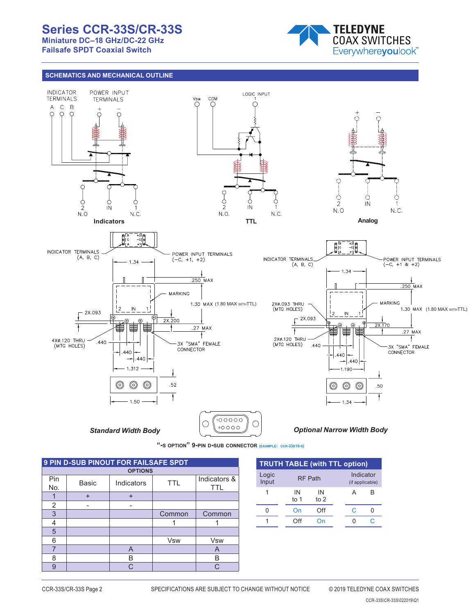# **Series CCR-33S/CR-33S**

**Miniature DC–18 GHz/DC-22 GHz**

**Failsafe SPDT Coaxial Switch**



## **SCHEMATICS AND MECHANICAL OUTLINE**





| <b>9 PIN D-SUB PINOUT FOR FAILSAFE SPDT</b> |           |                |                       |                            |  |  |  |
|---------------------------------------------|-----------|----------------|-----------------------|----------------------------|--|--|--|
|                                             |           | <b>OPTIONS</b> |                       |                            |  |  |  |
| Pin<br>No.                                  | Basic     | Indicators     | TTI                   | Indicators &<br><b>TTL</b> |  |  |  |
|                                             | $\ddot{}$ |                |                       |                            |  |  |  |
| 2                                           |           |                |                       |                            |  |  |  |
| 3                                           |           |                | Common                | Common                     |  |  |  |
| 4                                           |           |                |                       |                            |  |  |  |
| 5                                           |           |                |                       |                            |  |  |  |
| 6                                           |           |                | <b>V<sub>sw</sub></b> | <b>V<sub>sw</sub></b>      |  |  |  |
|                                             |           | A              |                       | A                          |  |  |  |
| 8                                           |           | B              |                       | B                          |  |  |  |
| g                                           |           | C.             |                       | ⌒                          |  |  |  |

| <b>TRUTH TABLE (with TTL option)</b> |              |                |  |   |                              |  |
|--------------------------------------|--------------|----------------|--|---|------------------------------|--|
| Logic<br>Input                       |              | <b>RF Path</b> |  |   | Indicator<br>(if applicable) |  |
| 1                                    | IN<br>to $1$ | IN<br>to $2$   |  | А | R                            |  |
| በ                                    | On           | Off            |  | C |                              |  |
|                                      | ∩ff          |                |  | 0 |                              |  |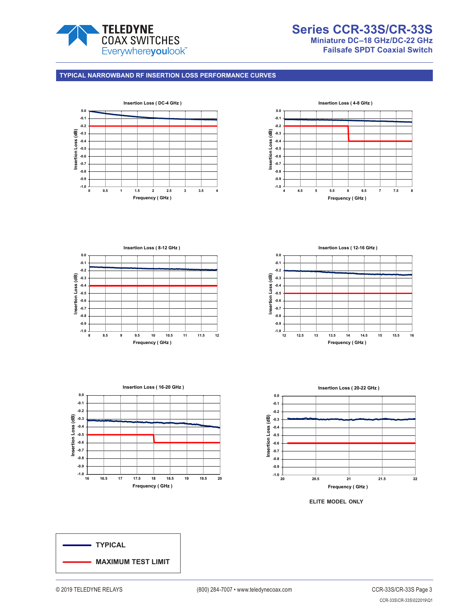

#### **TYPICAL NARROWBAND RF INSERTION LOSS PERFORMANCE CURVES**









 $-1.0$   $\frac{1}{12}$ **-0.9 -0.8 -0.7 -0.6 -0.5 -0.4 -0.3 -0.2 -0.1 0.0 12 12.5 13 13.5 14 14.5 15 15.5 16 Insertion Loss (dB) Frequency ( GHz ) Insertion Loss ( 12-16 GHz )**



**elite model only**

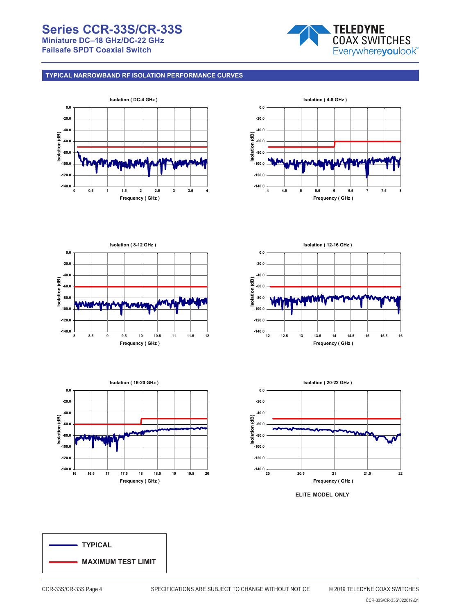# **Series CCR-33S/CR-33S Miniature DC–18 GHz/DC-22 GHz Failsafe SPDT Coaxial Switch**



## **TYPICAL NARROWBAND RF ISOLATION PERFORMANCE CURVES**

















CCR-33S\CR-33S\022019\Q1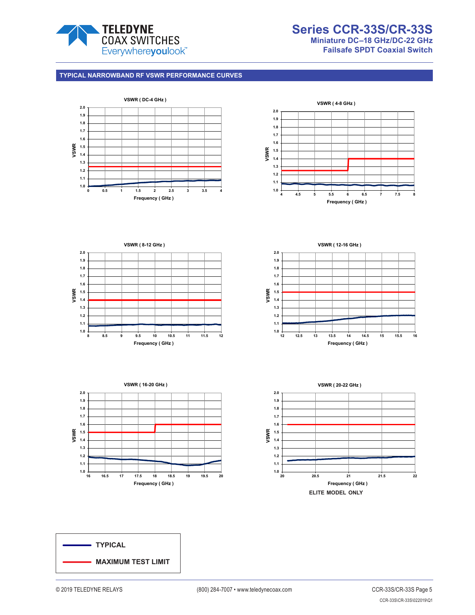

# **Series CCR-33S/CR-33S Miniature DC–18 GHz/DC-22 GHz Failsafe SPDT Coaxial Switch**

#### **TYPICAL NARROWBAND RF VSWR PERFORMANCE CURVES**











**VSWR ( 20-22 GHz )**



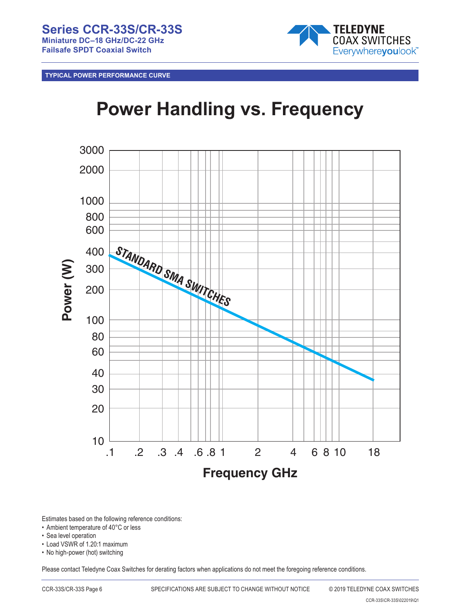

**TYPICAL POWER PERFORMANCE CURVE**

# **Power Handling vs. Frequency**



Estimates based on the following reference conditions:

- Ambient temperature of 40°C or less
- Sea level operation
- Load VSWR of 1.20:1 maximum
- No high-power (hot) switching

Please contact Teledyne Coax Switches for derating factors when applications do not meet the foregoing reference conditions.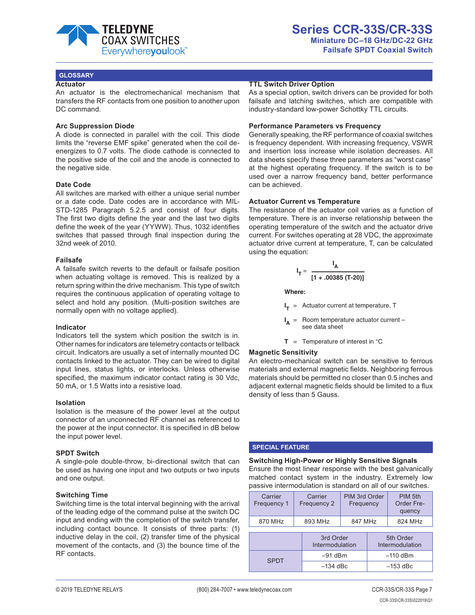

#### **GLOSSARY**

#### **Actuator**

An actuator is the electromechanical mechanism that transfers the RF contacts from one position to another upon DC command.

#### **Arc Suppression Diode**

A diode is connected in parallel with the coil. This diode limits the "reverse EMF spike" generated when the coil deenergizes to 0.7 volts. The diode cathode is connected to the positive side of the coil and the anode is connected to the negative side.

#### **Date Code**

All switches are marked with either a unique serial number or a date code. Date codes are in accordance with MIL-STD-1285 Paragraph 5.2.5 and consist of four digits. The first two digits define the year and the last two digits define the week of the year (YYWW). Thus, 1032 identifies switches that passed through final inspection during the 32nd week of 2010.

#### **Failsafe**

A failsafe switch reverts to the default or failsafe position when actuating voltage is removed. This is realized by a return spring within the drive mechanism. This type of switch requires the continuous application of operating voltage to select and hold any position. (Multi-position switches are normally open with no voltage applied).

#### **Indicator**

Indicators tell the system which position the switch is in. Other names for indicators are telemetry contacts or tellback circuit. Indicators are usually a set of internally mounted DC contacts linked to the actuator. They can be wired to digital input lines, status lights, or interlocks. Unless otherwise specified, the maximum indicator contact rating is 30 Vdc, 50 mA, or 1.5 Watts into a resistive load.

#### **Isolation**

Isolation is the measure of the power level at the output connector of an unconnected RF channel as referenced to the power at the input connector. It is specified in dB below the input power level.

#### **SPDT Switch**

A single-pole double-throw, bi-directional switch that can be used as having one input and two outputs or two inputs and one output.

#### **Switching Time**

Switching time is the total interval beginning with the arrival of the leading edge of the command pulse at the switch DC input and ending with the completion of the switch transfer, including contact bounce. It consists of three parts: (1) inductive delay in the coil, (2) transfer time of the physical movement of the contacts, and (3) the bounce time of the RF contacts.

#### **TTL Switch Driver Option**

As a special option, switch drivers can be provided for both failsafe and latching switches, which are compatible with industry-standard low-power Schottky TTL circuits.

#### **Performance Parameters vs Frequency**

Generally speaking, the RF performance of coaxial switches is frequency dependent. With increasing frequency, VSWR and insertion loss increase while isolation decreases. All data sheets specify these three parameters as "worst case" at the highest operating frequency. If the switch is to be used over a narrow frequency band, better performance can be achieved.

#### **Actuator Current vs Temperature**

The resistance of the actuator coil varies as a function of temperature. There is an inverse relationship between the operating temperature of the switch and the actuator drive current. For switches operating at 28 VDC, the approximate actuator drive current at temperature, T, can be calculated using the equation:

$$
I_T = \frac{I_A}{[1 + .00385 (T-20)]}
$$

**Where:**

**I <sup>T</sup>** = Actuator current at temperature, T

**I** Room temperature actuator current see data sheet

**T** = Temperature of interest in  $^{\circ}$ C

#### **Magnetic Sensitivity**

An electro-mechanical switch can be sensitive to ferrous materials and external magnetic fields. Neighboring ferrous materials should be permitted no closer than 0.5 inches and adjacent external magnetic fields should be limited to a flux density of less than 5 Gauss.

#### **SPECIAL FEATURE**

**Switching High-Power or Highly Sensitive Signals** Ensure the most linear response with the best galvanically matched contact system in the industry. Extremely low passive intermodulation is standard on all of our switches.

| Carrier<br>Frequency 1 | Carrier<br>Frequency 2       | PIM 3rd Order<br>Frequency |  | PIM 5th<br>Order Fre-<br>quency |  |
|------------------------|------------------------------|----------------------------|--|---------------------------------|--|
| 870 MHz                | 893 MHz                      | 847 MHz                    |  | 824 MHz                         |  |
|                        | 3rd Order<br>Intermodulation |                            |  | 5th Order<br>Intermodulation    |  |
| <b>SPDT</b>            |                              | $-91$ dBm                  |  | $-110$ dBm                      |  |
|                        |                              | $-134$ dBc                 |  | $-153$ dBc                      |  |